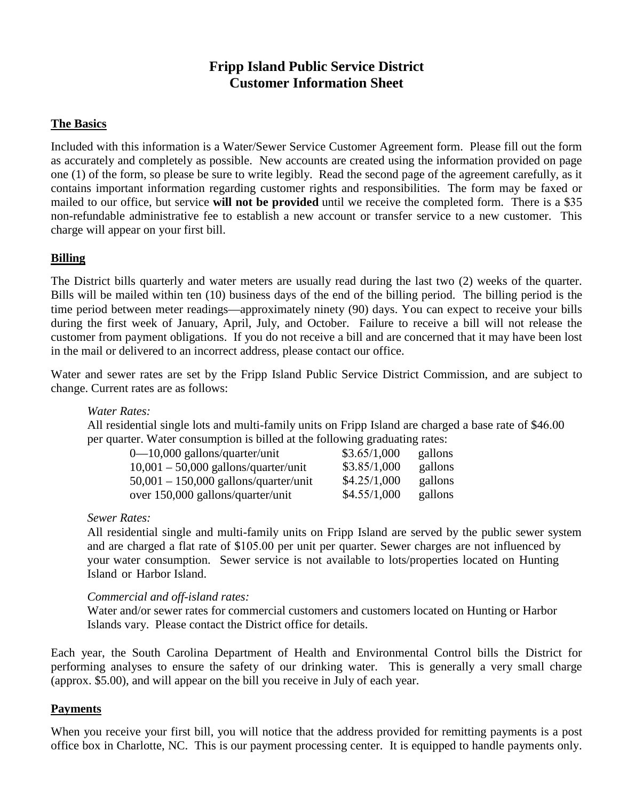# **Fripp Island Public Service District Customer Information Sheet**

# **The Basics**

Included with this information is a Water/Sewer Service Customer Agreement form. Please fill out the form as accurately and completely as possible. New accounts are created using the information provided on page one (1) of the form, so please be sure to write legibly. Read the second page of the agreement carefully, as it contains important information regarding customer rights and responsibilities. The form may be faxed or mailed to our office, but service **will not be provided** until we receive the completed form. There is a \$35 non-refundable administrative fee to establish a new account or transfer service to a new customer. This charge will appear on your first bill.

### **Billing**

The District bills quarterly and water meters are usually read during the last two (2) weeks of the quarter. Bills will be mailed within ten (10) business days of the end of the billing period. The billing period is the time period between meter readings—approximately ninety (90) days. You can expect to receive your bills during the first week of January, April, July, and October. Failure to receive a bill will not release the customer from payment obligations. If you do not receive a bill and are concerned that it may have been lost in the mail or delivered to an incorrect address, please contact our office.

Water and sewer rates are set by the Fripp Island Public Service District Commission, and are subject to change. Current rates are as follows:

*Water Rates:* 

All residential single lots and multi-family units on Fripp Island are charged a base rate of \$46.00 per quarter. Water consumption is billed at the following graduating rates:

| $0 - 10,000$ gallons/quarter/unit       | \$3.65/1,000 | gallons |
|-----------------------------------------|--------------|---------|
| $10,001 - 50,000$ gallons/quarter/unit  | \$3.85/1,000 | gallons |
| $50,001 - 150,000$ gallons/quarter/unit | \$4.25/1,000 | gallons |
| over 150,000 gallons/quarter/unit       | \$4.55/1,000 | gallons |

*Sewer Rates:*

All residential single and multi-family units on Fripp Island are served by the public sewer system and are charged a flat rate of \$105.00 per unit per quarter. Sewer charges are not influenced by your water consumption. Sewer service is not available to lots/properties located on Hunting Island or Harbor Island.

### *Commercial and off-island rates:*

Water and/or sewer rates for commercial customers and customers located on Hunting or Harbor Islands vary. Please contact the District office for details.

Each year, the South Carolina Department of Health and Environmental Control bills the District for performing analyses to ensure the safety of our drinking water. This is generally a very small charge (approx. \$5.00), and will appear on the bill you receive in July of each year.

#### **Payments**

When you receive your first bill, you will notice that the address provided for remitting payments is a post office box in Charlotte, NC. This is our payment processing center. It is equipped to handle payments only.